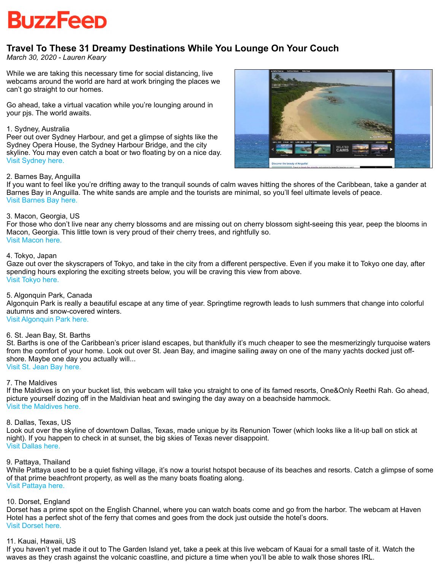

# **Travel To These 31 Dreamy Destinations While You Lounge On Your Couch**

*March 30, 2020 - Lauren Keary*

While we are taking this necessary time for social distancing, live webcams around the world are hard at work bringing the places we can't go straight to our homes.

Go ahead, take a virtual vacation while you're lounging around in your pjs. The world awaits.

#### 1. Sydney, Australia

Peer out over Sydney Harbour, and get a glimpse of sights like the Sydney Opera House, the Sydney Harbour Bridge, and the city skyline. You may even catch a boat or two floating by on a nice day. [Visit Sydney here.](https://webcamsydney.com/)

**TELE RELATE** 

# 2. Barnes Bay, Anguilla

If you want to feel like you're drifting away to the tranquil sounds of calm waves hitting the shores of the Caribbean, take a gander at Barnes Bay in Anguilla. The white sands are ample and the tourists are minimal, so you'll feel ultimate levels of peace. [Visit Barnes Bay here.](https://www.earthcam.com/world/anguilla/meadsbay/?cam=barnesbay)

# 3. Macon, Georgia, US

For those who don't live near any cherry blossoms and are missing out on cherry blossom sight-seeing this year, peep the blooms in Macon, Georgia. This little town is very proud of their cherry trees, and rightfully so. [Visit Macon here.](https://www.earthcam.com/usa/georgia/macon/?cam=macon)

#### 4. Tokyo, Japan

Gaze out over the skyscrapers of Tokyo, and take in the city from a different perspective. Even if you make it to Tokyo one day, after spending hours exploring the exciting streets below, you will be craving this view from above. [Visit Tokyo here.](https://www.youtube.com/watch?v=Y0M1BgpMfiU&feature=emb_logo)

# 5. Algonquin Park, Canada

Algonquin Park is really a beautiful escape at any time of year. Springtime regrowth leads to lush summers that change into colorful autumns and snow-covered winters.

#### [Visit Algonquin Park here.](https://www.earthcam.com/world/canada/ontario/algonquinpark/?cam=algonquin)

# 6. St. Jean Bay, St. Barths

St. Barths is one of the Caribbean's pricer island escapes, but thankfully it's much cheaper to see the mesmerizingly turquoise waters from the comfort of your home. Look out over St. Jean Bay, and imagine sailing away on one of the many yachts docked just offshore. Maybe one day you actually will... [Visit St. Jean Bay here.](https://www.youtube.com/watch?v=tkADOB9qWWc)

7. The Maldives

If the Maldives is on your bucket list, this webcam will take you straight to one of its famed resorts, One&Only Reethi Rah. Go ahead, picture yourself dozing off in the Maldivian heat and swinging the day away on a beachside hammock. [Visit the Maldives here.](https://www.earthcam.com/world/maldives/?cam=maldives)

#### 8. Dallas, Texas, US

Look out over the skyline of downtown Dallas, Texas, made unique by its Renunion Tower (which looks like a lit-up ball on stick at night). If you happen to check in at sunset, the big skies of Texas never disappoint. [Visit Dallas here.](https://www.earthcam.com/usa/texas/dallas/?cam=dallas)

#### 9. Pattaya, Thailand

While Pattaya used to be a quiet fishing village, it's now a tourist hotspot because of its beaches and resorts. Catch a glimpse of some of that prime beachfront property, as well as the many boats floating along. [Visit Pattaya here.](https://www.earthcam.com/world/thailand/pattaya/?cam=pattaya)

#### 10. Dorset, England

Dorset has a prime spot on the English Channel, where you can watch boats come and go from the harbor. The webcam at Haven Hotel has a perfect shot of the ferry that comes and goes from the dock just outside the hotel's doors. [Visit Dorset here.](https://hdontap.com/index.php/video/stream/haven-hotel-fjb)

#### 11. Kauai, Hawaii, US

If you haven't yet made it out to The Garden Island yet, take a peek at this live webcam of Kauai for a small taste of it. Watch the waves as they crash against the volcanic coastline, and picture a time when you'll be able to walk those shores IRL.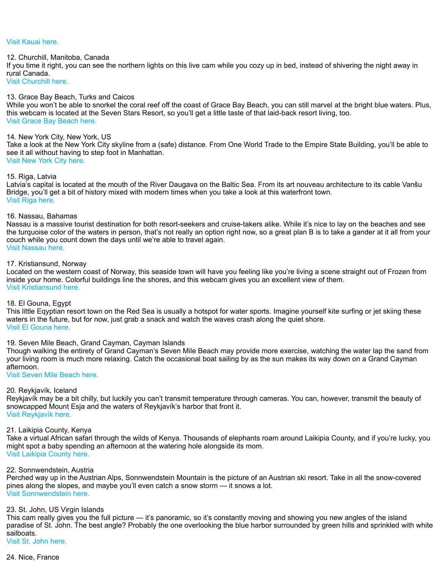# [Visit Kauai here.](https://www.earthcam.com/usa/hawaii/kauai/?cam=kauai)

#### 12. Churchill, Manitoba, Canada

If you time it right, you can see the northern lights on this live cam while you cozy up in bed, instead of shivering the night away in rural Canada.

[Visit Churchill here.](https://explore.org/livecams/zen-den/northern-lights-cam)

#### 13. Grace Bay Beach, Turks and Caicos

While you won't be able to snorkel the coral reef off the coast of Grace Bay Beach, you can still marvel at the bright blue waters. Plus, this webcam is located at the Seven Stars Resort, so you'll get a little taste of that laid-back resort living, too. [Visit Grace Bay Beach here.](https://hdontap.com/index.php/video/stream/seven-stars-resort)

#### 14. New York City, New York, US

Take a look at the New York City skyline from a (safe) distance. From One World Trade to the Empire State Building, you'll be able to see it all without having to step foot in Manhattan.

[Visit New York City here.](https://hdontap.com/index.php/video/stream/live-new-york-skyline-webcam)

#### 15. Riga, Latvia

Latvia's capital is located at the mouth of the River Daugava on the Baltic Sea. From its art nouveau architecture to its cable Vanšu Bridge, you'll get a bit of history mixed with modern times when you take a look at this waterfront town. [Visit Riga here.](https://balticlivecam.com/cameras/latvia/riga/panorama-of-riga/)

#### 16. Nassau, Bahamas

Nassau is a massive tourist destination for both resort-seekers and cruise-takers alike. While it's nice to lay on the beaches and see the turquoise color of the waters in person, that's not really an option right now, so a great plan B is to take a gander at it all from your couch while you count down the days until we're able to travel again. [Visit Nassau here.](https://www.webcamtaxi.com/en/bahamas/new-providence/albany-marina.html)

# 17. Kristiansund, Norway

Located on the western coast of Norway, this seaside town will have you feeling like you're living a scene straight out of Frozen from inside your home. Colorful buildings line the shores, and this webcam gives you an excellent view of them. [Visit Kristiansund here.](https://www.youtube.com/watch?v=6QPG7SxsPVQ)

#### 18. El Gouna, Egypt

This little Eqyptian resort town on the Red Sea is usually a hotspot for water sports. Imagine yourself kite surfing or jet skiing these waters in the future, but for now, just grab a snack and watch the waves crash along the quiet shore. [Visit El Gouna here.](https://www.youtube.com/watch?v=fluYR2cNEjQ)

# 19. Seven Mile Beach, Grand Cayman, Cayman Islands

Though walking the entirety of Grand Cayman's Seven Mile Beach may provide more exercise, watching the water lap the sand from your living room is much more relaxing. Catch the occasional boat sailing by as the sun makes its way down on a Grand Cayman afternoon.

[Visit Seven Mile Beach here.](https://www.webcamtaxi.com/en/cayman-islands/grand-cayman/seven-mile-beach-sea-view.html)

#### 20. Reykjavík, Iceland

Reykjavík may be a bit chilly, but luckily you can't transmit temperature through cameras. You can, however, transmit the beauty of snowcapped Mount Esja and the waters of Reykjavík's harbor that front it. [Visit Reykjavík here.](https://www.youtube.com/watch?v=MtTq8-xSfE4&feature=emb_logo)

# 21. Laikipia County, Kenya

Take a virtual African safari through the wilds of Kenya. Thousands of elephants roam around Laikipia County, and if you're lucky, you might spot a baby spending an afternoon at the watering hole alongside its mom. [Visit Laikipia County here.](https://mpalalive.org/live_cam/safari)

#### 22. Sonnwendstein, Austria

Perched way up in the Austrian Alps, Sonnwendstein Mountain is the picture of an Austrian ski resort. Take in all the snow-covered pines along the slopes, and maybe you'll even catch a snow storm — it snows a lot. [Visit Sonnwendstein here.](https://www.youtube.com/watch?v=IcMAnY45jh0)

#### 23. St. John, US Virgin Islands

This cam really gives you the full picture — it's panoramic, so it's constantly moving and showing you new angles of the island paradise of St. John. The best angle? Probably the one overlooking the blue harbor surrounded by green hills and sprinkled with white sailboats. [Visit St. John here.](https://www.youtube.com/watch?v=m7c12NY6xok)

#### 24. Nice, France